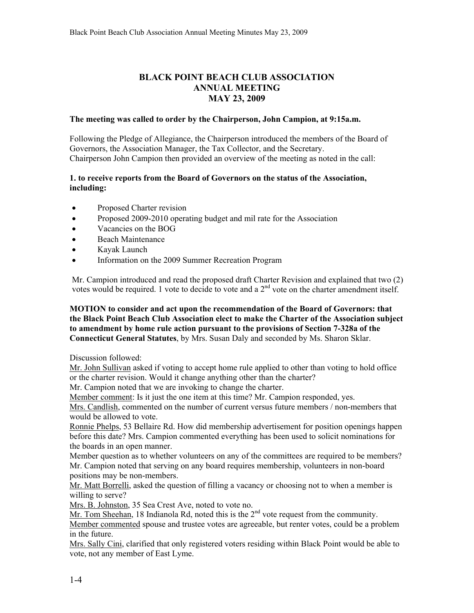# **BLACK POINT BEACH CLUB ASSOCIATION ANNUAL MEETING MAY 23, 2009**

#### **The meeting was called to order by the Chairperson, John Campion, at 9:15a.m.**

Following the Pledge of Allegiance, the Chairperson introduced the members of the Board of Governors, the Association Manager, the Tax Collector, and the Secretary. Chairperson John Campion then provided an overview of the meeting as noted in the call:

### **1. to receive reports from the Board of Governors on the status of the Association, including:**

- Proposed Charter revision
- Proposed 2009-2010 operating budget and mil rate for the Association
- Vacancies on the BOG
- Beach Maintenance
- Kayak Launch
- Information on the 2009 Summer Recreation Program

Mr. Campion introduced and read the proposed draft Charter Revision and explained that two (2) votes would be required. 1 vote to decide to vote and a 2<sup>nd</sup> vote on the charter amendment itself.

### **MOTION to consider and act upon the recommendation of the Board of Governors: that the Black Point Beach Club Association elect to make the Charter of the Association subject to amendment by home rule action pursuant to the provisions of Section 7-328a of the Connecticut General Statutes**, by Mrs. Susan Daly and seconded by Ms. Sharon Sklar.

Discussion followed:

Mr. John Sullivan asked if voting to accept home rule applied to other than voting to hold office or the charter revision. Would it change anything other than the charter?

Mr. Campion noted that we are invoking to change the charter.

Member comment: Is it just the one item at this time? Mr. Campion responded, yes.

Mrs. Candlish, commented on the number of current versus future members / non-members that would be allowed to vote.

Ronnie Phelps, 53 Bellaire Rd. How did membership advertisement for position openings happen before this date? Mrs. Campion commented everything has been used to solicit nominations for the boards in an open manner.

Member question as to whether volunteers on any of the committees are required to be members? Mr. Campion noted that serving on any board requires membership, volunteers in non-board positions may be non-members.

Mr. Matt Borrelli, asked the question of filling a vacancy or choosing not to when a member is willing to serve?

Mrs. B. Johnston, 35 Sea Crest Ave, noted to vote no.

Mr. Tom Sheehan, 18 Indianola Rd, noted this is the  $2<sup>nd</sup>$  vote request from the community.

Member commented spouse and trustee votes are agreeable, but renter votes, could be a problem in the future.

Mrs. Sally Cini, clarified that only registered voters residing within Black Point would be able to vote, not any member of East Lyme.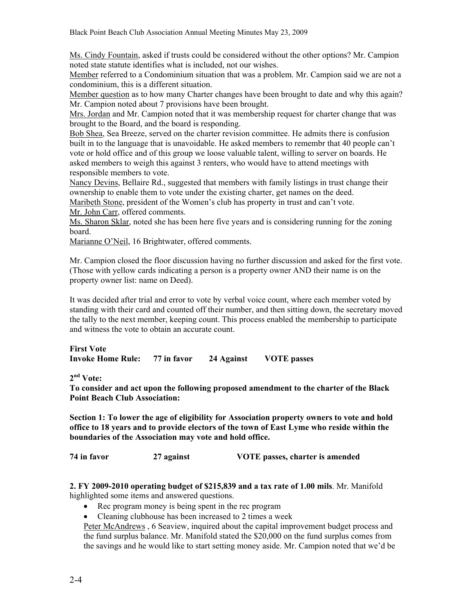Ms. Cindy Fountain, asked if trusts could be considered without the other options? Mr. Campion noted state statute identifies what is included, not our wishes.

Member referred to a Condominium situation that was a problem. Mr. Campion said we are not a condominium, this is a different situation.

Member question as to how many Charter changes have been brought to date and why this again? Mr. Campion noted about 7 provisions have been brought.

Mrs. Jordan and Mr. Campion noted that it was membership request for charter change that was brought to the Board, and the board is responding.

Bob Shea, Sea Breeze, served on the charter revision committee. He admits there is confusion built in to the language that is unavoidable. He asked members to remembr that 40 people can't vote or hold office and of this group we loose valuable talent, willing to server on boards. He asked members to weigh this against 3 renters, who would have to attend meetings with responsible members to vote.

Nancy Devins, Bellaire Rd., suggested that members with family listings in trust change their ownership to enable them to vote under the existing charter, get names on the deed.

Maribeth Stone, president of the Women's club has property in trust and can't vote. Mr. John Carr, offered comments.

Ms. Sharon Sklar, noted she has been here five years and is considering running for the zoning board.

Marianne O'Neil, 16 Brightwater, offered comments.

Mr. Campion closed the floor discussion having no further discussion and asked for the first vote. (Those with yellow cards indicating a person is a property owner AND their name is on the property owner list: name on Deed).

It was decided after trial and error to vote by verbal voice count, where each member voted by standing with their card and counted off their number, and then sitting down, the secretary moved the tally to the next member, keeping count. This process enabled the membership to participate and witness the vote to obtain an accurate count.

**First Vote Invoke Home Rule: 77 in favor 24 Against VOTE passes** 

**2nd Vote:** 

**To consider and act upon the following proposed amendment to the charter of the Black Point Beach Club Association:** 

**Section 1: To lower the age of eligibility for Association property owners to vote and hold office to 18 years and to provide electors of the town of East Lyme who reside within the boundaries of the Association may vote and hold office.** 

**74 in favor 27 against VOTE passes, charter is amended** 

#### **2. FY 2009-2010 operating budget of \$215,839 and a tax rate of 1.00 mils**. Mr. Manifold highlighted some items and answered questions.

- Rec program money is being spent in the rec program
- Cleaning clubhouse has been increased to 2 times a week

Peter McAndrews , 6 Seaview, inquired about the capital improvement budget process and the fund surplus balance. Mr. Manifold stated the \$20,000 on the fund surplus comes from the savings and he would like to start setting money aside. Mr. Campion noted that we'd be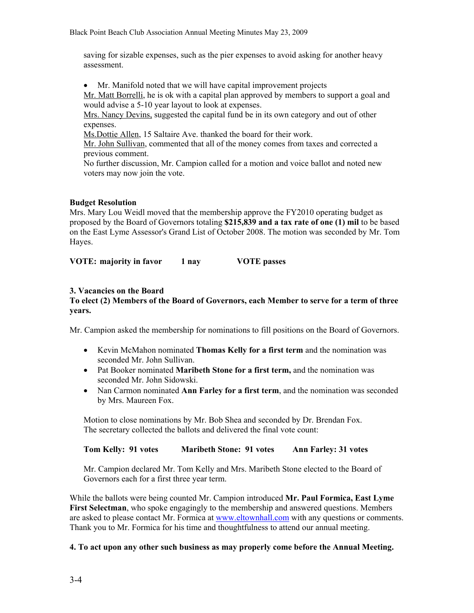saving for sizable expenses, such as the pier expenses to avoid asking for another heavy assessment.

• Mr. Manifold noted that we will have capital improvement projects

Mr. Matt Borrelli, he is ok with a capital plan approved by members to support a goal and would advise a 5-10 year layout to look at expenses.

Mrs. Nancy Devins, suggested the capital fund be in its own category and out of other expenses.

Ms.Dottie Allen, 15 Saltaire Ave. thanked the board for their work.

Mr. John Sullivan, commented that all of the money comes from taxes and corrected a previous comment.

No further discussion, Mr. Campion called for a motion and voice ballot and noted new voters may now join the vote.

### **Budget Resolution**

Mrs. Mary Lou Weidl moved that the membership approve the FY2010 operating budget as proposed by the Board of Governors totaling **\$215,839 and a tax rate of one (1) mil** to be based on the East Lyme Assessor's Grand List of October 2008. The motion was seconded by Mr. Tom Hayes.

**VOTE: majority in favor 1 nay VOTE passes** 

## **3. Vacancies on the Board**

### **To elect (2) Members of the Board of Governors, each Member to serve for a term of three years.**

Mr. Campion asked the membership for nominations to fill positions on the Board of Governors.

- Kevin McMahon nominated **Thomas Kelly for a first term** and the nomination was seconded Mr. John Sullivan.
- Pat Booker nominated **Maribeth Stone for a first term,** and the nomination was seconded Mr. John Sidowski.
- Nan Carmon nominated **Ann Farley for a first term**, and the nomination was seconded by Mrs. Maureen Fox.

Motion to close nominations by Mr. Bob Shea and seconded by Dr. Brendan Fox. The secretary collected the ballots and delivered the final vote count:

**Tom Kelly: 91 votes Maribeth Stone: 91 votes Ann Farley: 31 votes** 

Mr. Campion declared Mr. Tom Kelly and Mrs. Maribeth Stone elected to the Board of Governors each for a first three year term.

While the ballots were being counted Mr. Campion introduced **Mr. Paul Formica, East Lyme First Selectman**, who spoke engagingly to the membership and answered questions. Members are asked to please contact Mr. Formica at www.eltownhall.com with any questions or comments. Thank you to Mr. Formica for his time and thoughtfulness to attend our annual meeting.

## **4. To act upon any other such business as may properly come before the Annual Meeting.**